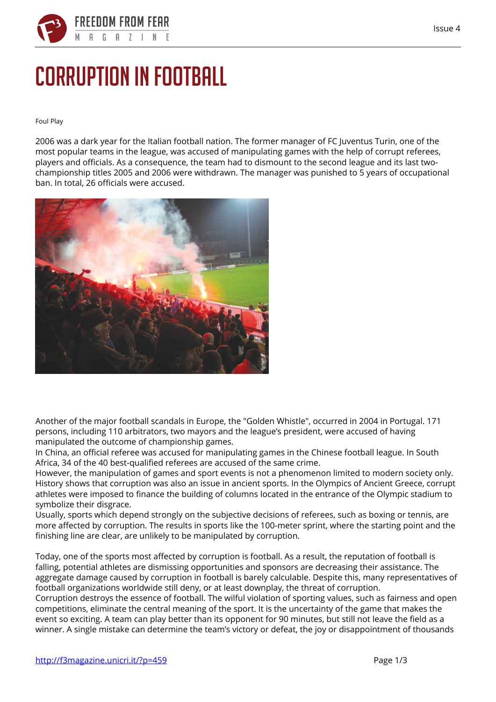

## **Corruption in football**

**Foul Play**

2006 was a dark year for the Italian football nation. The former manager of FC Juventus Turin, one of the most popular teams in the league, was accused of manipulating games with the help of corrupt referees, players and officials. As a consequence, the team had to dismount to the second league and its last twochampionship titles 2005 and 2006 were withdrawn. The manager was punished to 5 years of occupational ban. In total, 26 officials were accused.



Another of the major football scandals in Europe, the "Golden Whistle", occurred in 2004 in Portugal. 171 persons, including 110 arbitrators, two mayors and the league's president, were accused of having manipulated the outcome of championship games.

In China, an official referee was accused for manipulating games in the Chinese football league. In South Africa, 34 of the 40 best-qualified referees are accused of the same crime.

However, the manipulation of games and sport events is not a phenomenon limited to modern society only. History shows that corruption was also an issue in ancient sports. In the Olympics of Ancient Greece, corrupt athletes were imposed to finance the building of columns located in the entrance of the Olympic stadium to symbolize their disgrace.

Usually, sports which depend strongly on the subjective decisions of referees, such as boxing or tennis, are more affected by corruption. The results in sports like the 100-meter sprint, where the starting point and the finishing line are clear, are unlikely to be manipulated by corruption.

Today, one of the sports most affected by corruption is football. As a result, the reputation of football is falling, potential athletes are dismissing opportunities and sponsors are decreasing their assistance. The aggregate damage caused by corruption in football is barely calculable. Despite this, many representatives of football organizations worldwide still deny, or at least downplay, the threat of corruption.

Corruption destroys the essence of football. The wilful violation of sporting values, such as fairness and open competitions, eliminate the central meaning of the sport. It is the uncertainty of the game that makes the event so exciting. A team can play better than its opponent for 90 minutes, but still not leave the field as a winner. A single mistake can determine the team's victory or defeat, the joy or disappointment of thousands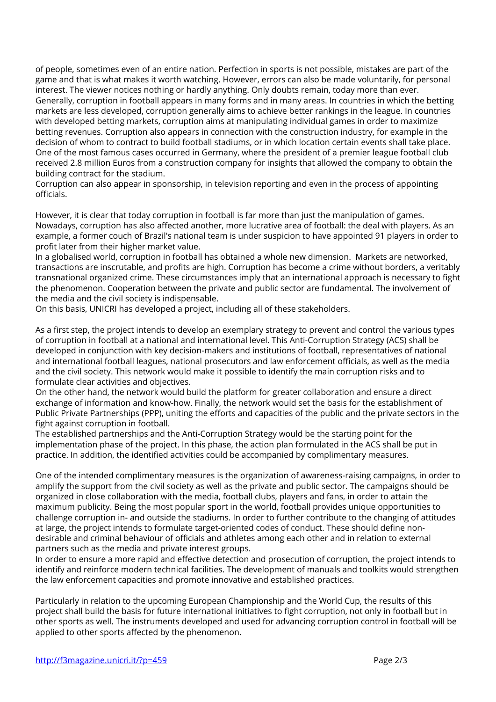of people, sometimes even of an entire nation. Perfection in sports is not possible, mistakes are part of the game and that is what makes it worth watching. However, errors can also be made voluntarily, for personal interest. The viewer notices nothing or hardly anything. Only doubts remain, today more than ever. Generally, corruption in football appears in many forms and in many areas. In countries in which the betting markets are less developed, corruption generally aims to achieve better rankings in the league. In countries with developed betting markets, corruption aims at manipulating individual games in order to maximize betting revenues. Corruption also appears in connection with the construction industry, for example in the decision of whom to contract to build football stadiums, or in which location certain events shall take place. One of the most famous cases occurred in Germany, where the president of a premier league football club received 2.8 million Euros from a construction company for insights that allowed the company to obtain the building contract for the stadium.

Corruption can also appear in sponsorship, in television reporting and even in the process of appointing officials.

However, it is clear that today corruption in football is far more than just the manipulation of games. Nowadays, corruption has also affected another, more lucrative area of football: the deal with players. As an example, a former couch of Brazil's national team is under suspicion to have appointed 91 players in order to profit later from their higher market value.

In a globalised world, corruption in football has obtained a whole new dimension. Markets are networked, transactions are inscrutable, and profits are high. Corruption has become a crime without borders, a veritably transnational organized crime. These circumstances imply that an international approach is necessary to fight the phenomenon. Cooperation between the private and public sector are fundamental. The involvement of the media and the civil society is indispensable.

On this basis, UNICRI has developed a project, including all of these stakeholders.

As a first step, the project intends to develop an exemplary strategy to prevent and control the various types of corruption in football at a national and international level. This Anti-Corruption Strategy (ACS) shall be developed in conjunction with key decision-makers and institutions of football, representatives of national and international football leagues, national prosecutors and law enforcement officials, as well as the media and the civil society. This network would make it possible to identify the main corruption risks and to formulate clear activities and objectives.

On the other hand, the network would build the platform for greater collaboration and ensure a direct exchange of information and know-how. Finally, the network would set the basis for the establishment of Public Private Partnerships (PPP), uniting the efforts and capacities of the public and the private sectors in the fight against corruption in football.

The established partnerships and the Anti-Corruption Strategy would be the starting point for the implementation phase of the project. In this phase, the action plan formulated in the ACS shall be put in practice. In addition, the identified activities could be accompanied by complimentary measures.

One of the intended complimentary measures is the organization of awareness-raising campaigns, in order to amplify the support from the civil society as well as the private and public sector. The campaigns should be organized in close collaboration with the media, football clubs, players and fans, in order to attain the maximum publicity. Being the most popular sport in the world, football provides unique opportunities to challenge corruption in- and outside the stadiums. In order to further contribute to the changing of attitudes at large, the project intends to formulate target-oriented codes of conduct. These should define nondesirable and criminal behaviour of officials and athletes among each other and in relation to external partners such as the media and private interest groups.

In order to ensure a more rapid and effective detection and prosecution of corruption, the project intends to identify and reinforce modern technical facilities. The development of manuals and toolkits would strengthen the law enforcement capacities and promote innovative and established practices.

Particularly in relation to the upcoming European Championship and the World Cup, the results of this project shall build the basis for future international initiatives to fight corruption, not only in football but in other sports as well. The instruments developed and used for advancing corruption control in football will be applied to other sports affected by the phenomenon.